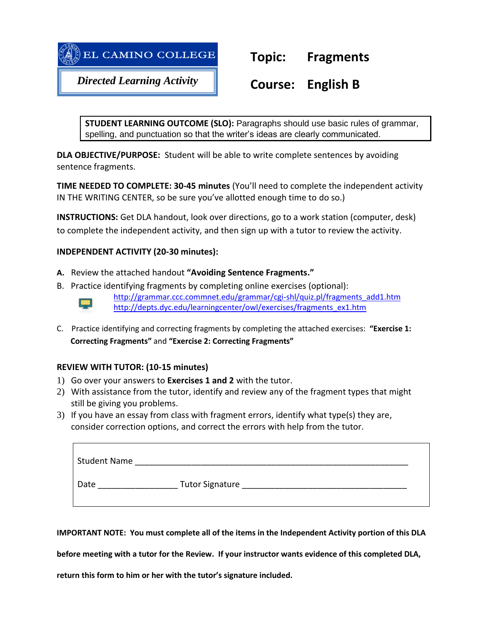

# **Topic: Fragments**

*Directed Learning Activity*

# **Course: English B**

**STUDENT LEARNING OUTCOME (SLO):** Paragraphs should use basic rules of grammar, spelling, and punctuation so that the writer's ideas are clearly communicated.

**DLA OBJECTIVE/PURPOSE:** Student will be able to write complete sentences by avoiding sentence fragments.

**TIME NEEDED TO COMPLETE: 30-45 minutes** (You'll need to complete the independent activity IN THE WRITING CENTER, so be sure you've allotted enough time to do so.)

**INSTRUCTIONS:** Get DLA handout, look over directions, go to a work station (computer, desk) to complete the independent activity, and then sign up with a tutor to review the activity.

# **INDEPENDENT ACTIVITY (20-30 minutes):**

- **A.** Review the attached handout **"Avoiding Sentence Fragments."**
- B. Practice identifying fragments by completing online exercises (optional):

[http://grammar.ccc.commnet.edu/grammar/cgi-shl/quiz.pl/fragments\\_add1.htm](http://grammar.ccc.commnet.edu/grammar/cgi-shl/quiz.pl/fragments_add1.htm) [http://depts.dyc.edu/learningcenter/owl/exercises/fragments\\_ex1.htm](http://depts.dyc.edu/learningcenter/owl/exercises/fragments_ex1.htm)

C. Practice identifying and correcting fragments by completing the attached exercises: **"Exercise 1: Correcting Fragments"** and **"Exercise 2: Correcting Fragments"**

# **REVIEW WITH TUTOR: (10-15 minutes)**

 $\Box$ 

- 1) Go over your answers to **Exercises 1 and 2** with the tutor.
- 2) With assistance from the tutor, identify and review any of the fragment types that might still be giving you problems.
- 3) If you have an essay from class with fragment errors, identify what type(s) they are, consider correction options, and correct the errors with help from the tutor.

| Student Name |                        |
|--------------|------------------------|
| Date         | <b>Tutor Signature</b> |

**IMPORTANT NOTE: You must complete all of the items in the Independent Activity portion of this DLA** 

**before meeting with a tutor for the Review. If your instructor wants evidence of this completed DLA,** 

**return this form to him or her with the tutor's signature included.**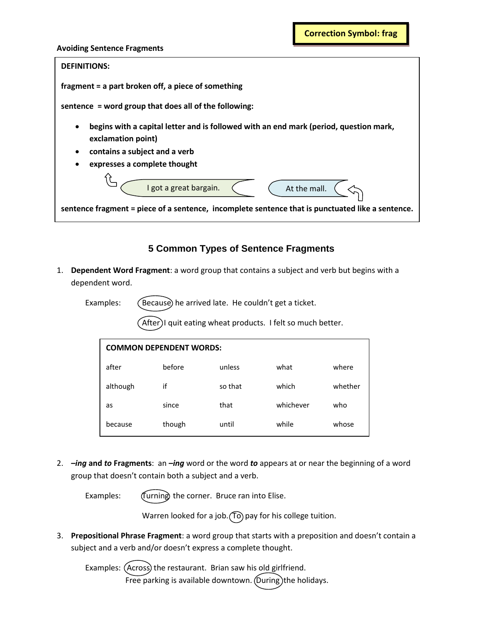#### **Avoiding Sentence Fragments**



# **5 Common Types of Sentence Fragments**

1. **Dependent Word Fragment**: a word group that contains a subject and verb but begins with a dependent word.

Examples: (Because) he arrived late. He couldn't get a ticket.

After)I quit eating wheat products. I felt so much better.

| <b>COMMON DEPENDENT WORDS:</b> |        |         |           |         |  |  |  |
|--------------------------------|--------|---------|-----------|---------|--|--|--|
| after                          | before | unless  | what      | where   |  |  |  |
| although                       | if     | so that | which     | whether |  |  |  |
| as                             | since  | that    | whichever | who     |  |  |  |
| because                        | though | until   | while     | whose   |  |  |  |

2. *–ing* **and** *to* **Fragments**: an *–ing* word or the word *to* appears at or near the beginning of a word group that doesn't contain both a subject and a verb.

Examples: (Turning the corner. Bruce ran into Elise.

if when whose

Warren looked for a job.  $(10)$  pay for his college tuition.

3. **Prepositional Phrase Fragment**: a word group that starts with a preposition and doesn't contain a subject and a verb and/or doesn't express a complete thought.

Examples: (Across) the restaurant. Brian saw his old girlfriend. Free parking is available downtown. (During) the holidays.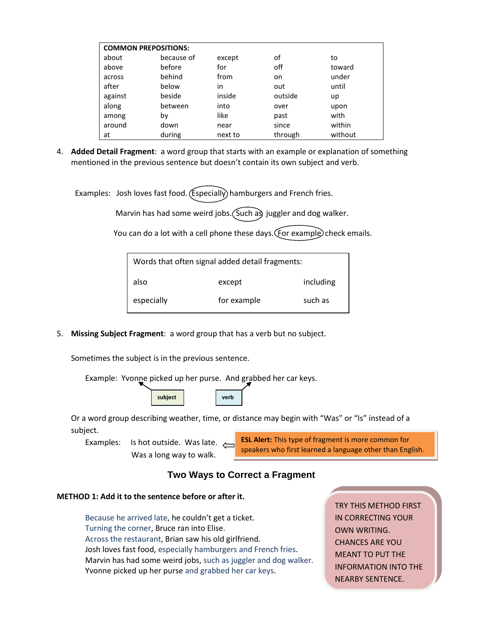| <b>COMMON PREPOSITIONS:</b> |            |         |         |         |  |  |  |
|-----------------------------|------------|---------|---------|---------|--|--|--|
| about                       | because of | except  | οf      | to      |  |  |  |
| above                       | before     | for     | off     | toward  |  |  |  |
| across                      | behind     | from    | on      | under   |  |  |  |
| after                       | below      | in      | out     | until   |  |  |  |
| against                     | beside     | inside  | outside | up      |  |  |  |
| along                       | between    | into    | over    | upon    |  |  |  |
| among                       | by         | like    | past    | with    |  |  |  |
| around                      | down       | near    | since   | within  |  |  |  |
| at                          | during     | next to | through | without |  |  |  |

4. **Added Detail Fragment**: a word group that starts with an example or explanation of something mentioned in the previous sentence but doesn't contain its own subject and verb.

Examples: Josh loves fast food. (Especially) hamburgers and French fries.

Marvin has had some weird jobs. (Such as juggler and dog walker.

You can do a lot with a cell phone these days. (For example) check emails.

| Words that often signal added detail fragments: |             |           |  |  |  |
|-------------------------------------------------|-------------|-----------|--|--|--|
| also                                            | except      | including |  |  |  |
| especially                                      | for example | such as   |  |  |  |

5. **Missing Subject Fragment**: a word group that has a verb but no subject.

Sometimes the subject is in the previous sentence.



Or a word group describing weather, time, or distance may begin with "Was" or "Is" instead of a subject.

Examples: Is hot outside. Was late.  $\sim$ Was a long way to walk.

**ESL Alert:** This type of fragment is more common for speakers who first learned a language other than English.

# **Two Ways to Correct a Fragment**

### **METHOD 1: Add it to the sentence before or after it.**

Because he arrived late, he couldn't get a ticket. Turning the corner, Bruce ran into Elise. Across the restaurant, Brian saw his old girlfriend. Josh loves fast food, especially hamburgers and French fries. Marvin has had some weird jobs, such as juggler and dog walker. Yvonne picked up her purse and grabbed her car keys.

TRY THIS METHOD FIRST IN CORRECTING YOUR OWN WRITING. CHANCES ARE YOU MEANT TO PUT THE INFORMATION INTO THE NEARBY SENTENCE.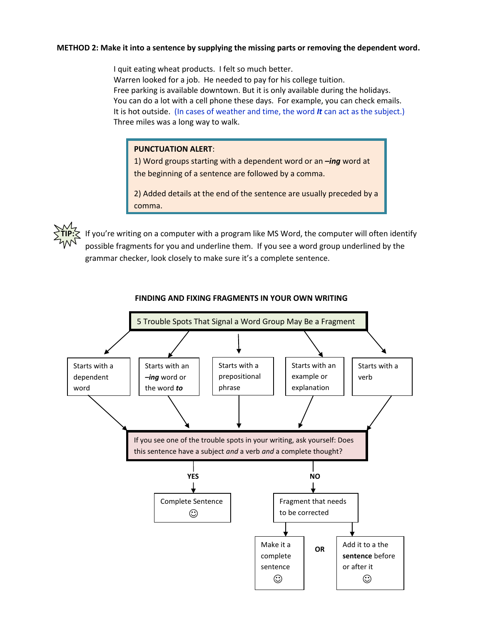## **METHOD 2: Make it into a sentence by supplying the missing parts or removing the dependent word.**

I quit eating wheat products. I felt so much better. Warren looked for a job. He needed to pay for his college tuition. Free parking is available downtown. But it is only available during the holidays. You can do a lot with a cell phone these days. For example, you can check emails. It is hot outside. (In cases of weather and time, the word *It* can act as the subject.) Three miles was a long way to walk.

#### **PUNCTUATION ALERT**:

1) Word groups starting with a dependent word or an *–ing* word at the beginning of a sentence are followed by a comma.

2) Added details at the end of the sentence are usually preceded by a comma.



If you're writing on a computer with a program like MS Word, the computer will often identify possible fragments for you and underline them. If you see a word group underlined by the grammar checker, look closely to make sure it's a complete sentence.



### **FINDING AND FIXING FRAGMENTS IN YOUR OWN WRITING**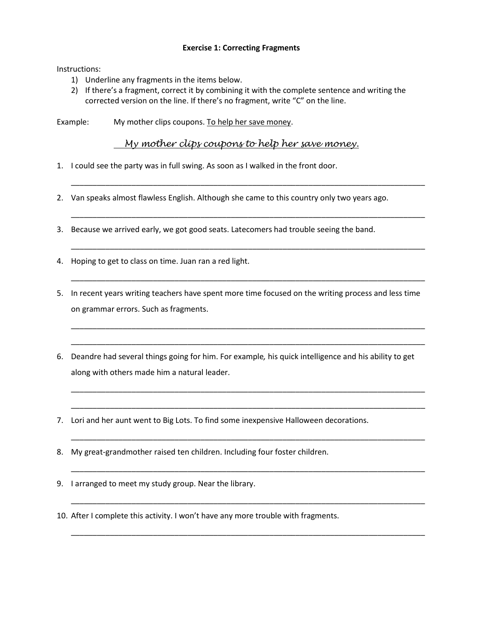## **Exercise 1: Correcting Fragments**

Instructions:

- 1) Underline any fragments in the items below.
- 2) If there's a fragment, correct it by combining it with the complete sentence and writing the corrected version on the line. If there's no fragment, write "C" on the line.

Example: My mother clips coupons. To help her save money.

 *My mother clips coupons to help her save money.* 

\_\_\_\_\_\_\_\_\_\_\_\_\_\_\_\_\_\_\_\_\_\_\_\_\_\_\_\_\_\_\_\_\_\_\_\_\_\_\_\_\_\_\_\_\_\_\_\_\_\_\_\_\_\_\_\_\_\_\_\_\_\_\_\_\_\_\_\_\_\_\_\_\_\_\_\_\_\_\_\_\_\_

\_\_\_\_\_\_\_\_\_\_\_\_\_\_\_\_\_\_\_\_\_\_\_\_\_\_\_\_\_\_\_\_\_\_\_\_\_\_\_\_\_\_\_\_\_\_\_\_\_\_\_\_\_\_\_\_\_\_\_\_\_\_\_\_\_\_\_\_\_\_\_\_\_\_\_\_\_\_\_\_\_\_

\_\_\_\_\_\_\_\_\_\_\_\_\_\_\_\_\_\_\_\_\_\_\_\_\_\_\_\_\_\_\_\_\_\_\_\_\_\_\_\_\_\_\_\_\_\_\_\_\_\_\_\_\_\_\_\_\_\_\_\_\_\_\_\_\_\_\_\_\_\_\_\_\_\_\_\_\_\_\_\_\_\_

\_\_\_\_\_\_\_\_\_\_\_\_\_\_\_\_\_\_\_\_\_\_\_\_\_\_\_\_\_\_\_\_\_\_\_\_\_\_\_\_\_\_\_\_\_\_\_\_\_\_\_\_\_\_\_\_\_\_\_\_\_\_\_\_\_\_\_\_\_\_\_\_\_\_\_\_\_\_\_\_\_\_

\_\_\_\_\_\_\_\_\_\_\_\_\_\_\_\_\_\_\_\_\_\_\_\_\_\_\_\_\_\_\_\_\_\_\_\_\_\_\_\_\_\_\_\_\_\_\_\_\_\_\_\_\_\_\_\_\_\_\_\_\_\_\_\_\_\_\_\_\_\_\_\_\_\_\_\_\_\_\_\_\_\_

\_\_\_\_\_\_\_\_\_\_\_\_\_\_\_\_\_\_\_\_\_\_\_\_\_\_\_\_\_\_\_\_\_\_\_\_\_\_\_\_\_\_\_\_\_\_\_\_\_\_\_\_\_\_\_\_\_\_\_\_\_\_\_\_\_\_\_\_\_\_\_\_\_\_\_\_\_\_\_\_\_\_

\_\_\_\_\_\_\_\_\_\_\_\_\_\_\_\_\_\_\_\_\_\_\_\_\_\_\_\_\_\_\_\_\_\_\_\_\_\_\_\_\_\_\_\_\_\_\_\_\_\_\_\_\_\_\_\_\_\_\_\_\_\_\_\_\_\_\_\_\_\_\_\_\_\_\_\_\_\_\_\_\_\_

\_\_\_\_\_\_\_\_\_\_\_\_\_\_\_\_\_\_\_\_\_\_\_\_\_\_\_\_\_\_\_\_\_\_\_\_\_\_\_\_\_\_\_\_\_\_\_\_\_\_\_\_\_\_\_\_\_\_\_\_\_\_\_\_\_\_\_\_\_\_\_\_\_\_\_\_\_\_\_\_\_\_

\_\_\_\_\_\_\_\_\_\_\_\_\_\_\_\_\_\_\_\_\_\_\_\_\_\_\_\_\_\_\_\_\_\_\_\_\_\_\_\_\_\_\_\_\_\_\_\_\_\_\_\_\_\_\_\_\_\_\_\_\_\_\_\_\_\_\_\_\_\_\_\_\_\_\_\_\_\_\_\_\_\_

\_\_\_\_\_\_\_\_\_\_\_\_\_\_\_\_\_\_\_\_\_\_\_\_\_\_\_\_\_\_\_\_\_\_\_\_\_\_\_\_\_\_\_\_\_\_\_\_\_\_\_\_\_\_\_\_\_\_\_\_\_\_\_\_\_\_\_\_\_\_\_\_\_\_\_\_\_\_\_\_\_\_

\_\_\_\_\_\_\_\_\_\_\_\_\_\_\_\_\_\_\_\_\_\_\_\_\_\_\_\_\_\_\_\_\_\_\_\_\_\_\_\_\_\_\_\_\_\_\_\_\_\_\_\_\_\_\_\_\_\_\_\_\_\_\_\_\_\_\_\_\_\_\_\_\_\_\_\_\_\_\_\_\_\_

\_\_\_\_\_\_\_\_\_\_\_\_\_\_\_\_\_\_\_\_\_\_\_\_\_\_\_\_\_\_\_\_\_\_\_\_\_\_\_\_\_\_\_\_\_\_\_\_\_\_\_\_\_\_\_\_\_\_\_\_\_\_\_\_\_\_\_\_\_\_\_\_\_\_\_\_\_\_\_\_\_\_

- 1. I could see the party was in full swing. As soon as I walked in the front door.
- 2. Van speaks almost flawless English. Although she came to this country only two years ago.
- 3. Because we arrived early, we got good seats. Latecomers had trouble seeing the band.
- 4. Hoping to get to class on time. Juan ran a red light.
- 5. In recent years writing teachers have spent more time focused on the writing process and less time on grammar errors. Such as fragments.
- 6. Deandre had several things going for him. For example*,* his quick intelligence and his ability to get along with others made him a natural leader.
- 7. Lori and her aunt went to Big Lots. To find some inexpensive Halloween decorations.
- 8. My great-grandmother raised ten children. Including four foster children.
- 9. I arranged to meet my study group. Near the library.
- 10. After I complete this activity. I won't have any more trouble with fragments.